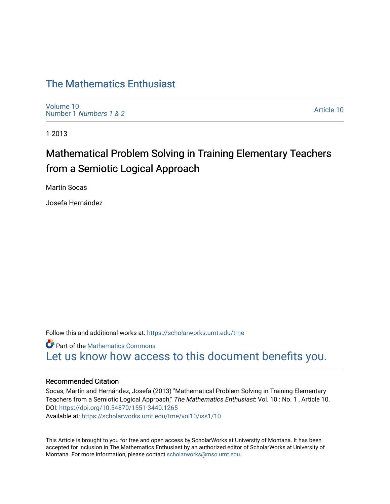## [The Mathematics Enthusiast](https://scholarworks.umt.edu/tme)

[Volume 10](https://scholarworks.umt.edu/tme/vol10) Number 1 [Numbers 1 & 2](https://scholarworks.umt.edu/tme/vol10/iss1)

[Article 10](https://scholarworks.umt.edu/tme/vol10/iss1/10) 

1-2013

# Mathematical Problem Solving in Training Elementary Teachers from a Semiotic Logical Approach

Martín Socas

Josefa Hernández

Follow this and additional works at: [https://scholarworks.umt.edu/tme](https://scholarworks.umt.edu/tme?utm_source=scholarworks.umt.edu%2Ftme%2Fvol10%2Fiss1%2F10&utm_medium=PDF&utm_campaign=PDFCoverPages) 

**Part of the [Mathematics Commons](http://network.bepress.com/hgg/discipline/174?utm_source=scholarworks.umt.edu%2Ftme%2Fvol10%2Fiss1%2F10&utm_medium=PDF&utm_campaign=PDFCoverPages)** [Let us know how access to this document benefits you.](https://goo.gl/forms/s2rGfXOLzz71qgsB2) 

## Recommended Citation

Socas, Martín and Hernández, Josefa (2013) "Mathematical Problem Solving in Training Elementary Teachers from a Semiotic Logical Approach," The Mathematics Enthusiast: Vol. 10 : No. 1 , Article 10. DOI:<https://doi.org/10.54870/1551-3440.1265> Available at: [https://scholarworks.umt.edu/tme/vol10/iss1/10](https://scholarworks.umt.edu/tme/vol10/iss1/10?utm_source=scholarworks.umt.edu%2Ftme%2Fvol10%2Fiss1%2F10&utm_medium=PDF&utm_campaign=PDFCoverPages)

This Article is brought to you for free and open access by ScholarWorks at University of Montana. It has been accepted for inclusion in The Mathematics Enthusiast by an authorized editor of ScholarWorks at University of Montana. For more information, please contact [scholarworks@mso.umt.edu.](mailto:scholarworks@mso.umt.edu)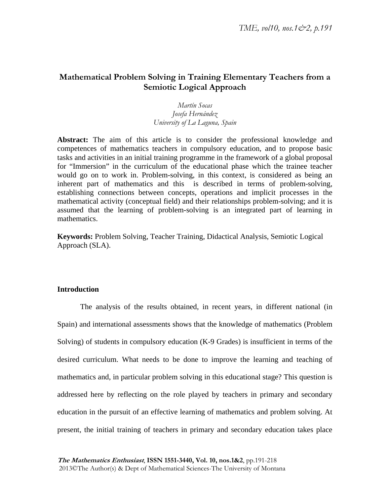## **Mathematical Problem Solving in Training Elementary Teachers from a Semiotic Logical Approach**

## *Martín Socas Josefa Hernández University of La Laguna, Spain*

Abstract: The aim of this article is to consider the professional knowledge and competences of mathematics teachers in compulsory education, and to propose basic tasks and activities in an initial training programme in the framework of a global proposal for "Immersion" in the curriculum of the educational phase which the trainee teacher would go on to work in. Problem-solving, in this context, is considered as being an inherent part of mathematics and this is described in terms of problem-solving, establishing connections between concepts, operations and implicit processes in the mathematical activity (conceptual field) and their relationships problem-solving; and it is assumed that the learning of problem-solving is an integrated part of learning in mathematics.

**Keywords:** Problem Solving, Teacher Training, Didactical Analysis, Semiotic Logical Approach (SLA).

## **Introduction**

The analysis of the results obtained, in recent years, in different national (in Spain) and international assessments shows that the knowledge of mathematics (Problem Solving) of students in compulsory education (K-9 Grades) is insufficient in terms of the desired curriculum. What needs to be done to improve the learning and teaching of mathematics and, in particular problem solving in this educational stage? This question is addressed here by reflecting on the role played by teachers in primary and secondary education in the pursuit of an effective learning of mathematics and problem solving. At present, the initial training of teachers in primary and secondary education takes place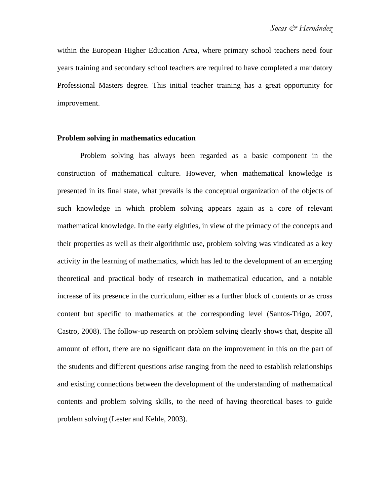within the European Higher Education Area, where primary school teachers need four years training and secondary school teachers are required to have completed a mandatory Professional Masters degree. This initial teacher training has a great opportunity for improvement.

## **Problem solving in mathematics education**

Problem solving has always been regarded as a basic component in the construction of mathematical culture. However, when mathematical knowledge is presented in its final state, what prevails is the conceptual organization of the objects of such knowledge in which problem solving appears again as a core of relevant mathematical knowledge. In the early eighties, in view of the primacy of the concepts and their properties as well as their algorithmic use, problem solving was vindicated as a key activity in the learning of mathematics, which has led to the development of an emerging theoretical and practical body of research in mathematical education, and a notable increase of its presence in the curriculum, either as a further block of contents or as cross content but specific to mathematics at the corresponding level (Santos-Trigo, 2007, Castro, 2008). The follow-up research on problem solving clearly shows that, despite all amount of effort, there are no significant data on the improvement in this on the part of the students and different questions arise ranging from the need to establish relationships and existing connections between the development of the understanding of mathematical contents and problem solving skills, to the need of having theoretical bases to guide problem solving (Lester and Kehle, 2003).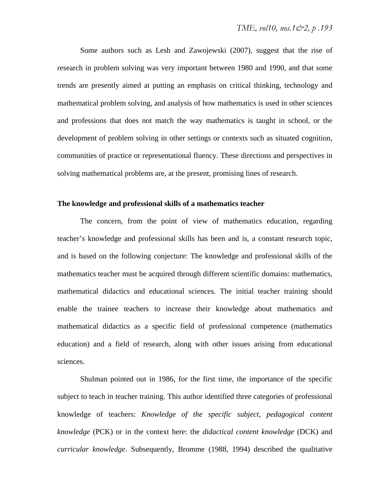Some authors such as Lesh and Zawojewski (2007), suggest that the rise of research in problem solving was very important between 1980 and 1990, and that some trends are presently aimed at putting an emphasis on critical thinking, technology and mathematical problem solving, and analysis of how mathematics is used in other sciences and professions that does not match the way mathematics is taught in school, or the development of problem solving in other settings or contexts such as situated cognition, communities of practice or representational fluency. These directions and perspectives in solving mathematical problems are, at the present, promising lines of research.

## **The knowledge and professional skills of a mathematics teacher**

The concern, from the point of view of mathematics education, regarding teacher's knowledge and professional skills has been and is, a constant research topic, and is based on the following conjecture: The knowledge and professional skills of the mathematics teacher must be acquired through different scientific domains: mathematics, mathematical didactics and educational sciences. The initial teacher training should enable the trainee teachers to increase their knowledge about mathematics and mathematical didactics as a specific field of professional competence (mathematics education) and a field of research, along with other issues arising from educational sciences.

Shulman pointed out in 1986, for the first time, the importance of the specific subject to teach in teacher training. This author identified three categories of professional knowledge of teachers: *Knowledge of the specific subject*, *pedagogical content knowledge* (PCK) or in the context here: the *didactical content knowledge* (DCK) and *curricular knowledge*. Subsequently, Bromme (1988, 1994) described the qualitative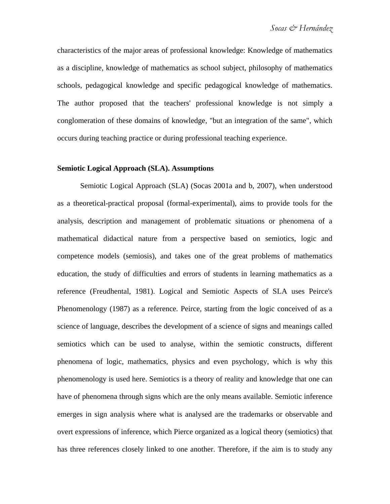characteristics of the major areas of professional knowledge: Knowledge of mathematics as a discipline, knowledge of mathematics as school subject, philosophy of mathematics schools, pedagogical knowledge and specific pedagogical knowledge of mathematics. The author proposed that the teachers' professional knowledge is not simply a conglomeration of these domains of knowledge, "but an integration of the same", which occurs during teaching practice or during professional teaching experience.

## **Semiotic Logical Approach (SLA). Assumptions**

Semiotic Logical Approach (SLA) (Socas 2001a and b, 2007), when understood as a theoretical-practical proposal (formal-experimental), aims to provide tools for the analysis, description and management of problematic situations or phenomena of a mathematical didactical nature from a perspective based on semiotics, logic and competence models (semiosis), and takes one of the great problems of mathematics education, the study of difficulties and errors of students in learning mathematics as a reference (Freudhental, 1981). Logical and Semiotic Aspects of SLA uses Peirce's Phenomenology (1987) as a reference. Peirce, starting from the logic conceived of as a science of language, describes the development of a science of signs and meanings called semiotics which can be used to analyse, within the semiotic constructs, different phenomena of logic, mathematics, physics and even psychology, which is why this phenomenology is used here. Semiotics is a theory of reality and knowledge that one can have of phenomena through signs which are the only means available. Semiotic inference emerges in sign analysis where what is analysed are the trademarks or observable and overt expressions of inference, which Pierce organized as a logical theory (semiotics) that has three references closely linked to one another. Therefore, if the aim is to study any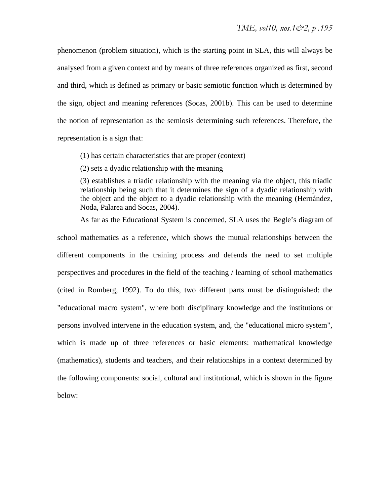phenomenon (problem situation), which is the starting point in SLA, this will always be analysed from a given context and by means of three references organized as first, second and third, which is defined as primary or basic semiotic function which is determined by the sign, object and meaning references (Socas, 2001b). This can be used to determine the notion of representation as the semiosis determining such references. Therefore, the representation is a sign that:

(1) has certain characteristics that are proper (context)

(2) sets a dyadic relationship with the meaning

(3) establishes a triadic relationship with the meaning via the object, this triadic relationship being such that it determines the sign of a dyadic relationship with the object and the object to a dyadic relationship with the meaning (Hernández, Noda, Palarea and Socas, 2004).

As far as the Educational System is concerned, SLA uses the Begle's diagram of

school mathematics as a reference, which shows the mutual relationships between the different components in the training process and defends the need to set multiple perspectives and procedures in the field of the teaching / learning of school mathematics (cited in Romberg, 1992). To do this, two different parts must be distinguished: the "educational macro system", where both disciplinary knowledge and the institutions or persons involved intervene in the education system, and, the "educational micro system", which is made up of three references or basic elements: mathematical knowledge (mathematics), students and teachers, and their relationships in a context determined by the following components: social, cultural and institutional, which is shown in the figure below: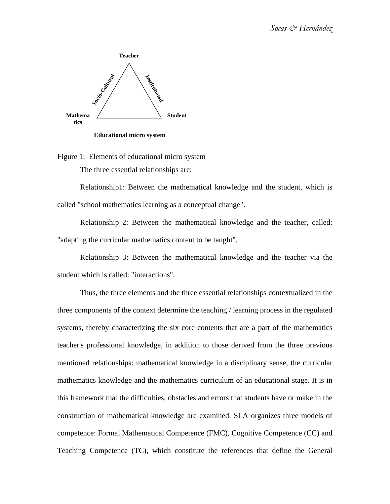

**Educational micro system**

Figure 1: Elements of educational micro system The three essential relationships are:

Relationship1: Between the mathematical knowledge and the student, which is called "school mathematics learning as a conceptual change".

Relationship 2: Between the mathematical knowledge and the teacher, called: "adapting the curricular mathematics content to be taught".

Relationship 3: Between the mathematical knowledge and the teacher via the student which is called: "interactions".

Thus, the three elements and the three essential relationships contextualized in the three components of the context determine the teaching / learning process in the regulated systems, thereby characterizing the six core contents that are a part of the mathematics teacher's professional knowledge, in addition to those derived from the three previous mentioned relationships: mathematical knowledge in a disciplinary sense, the curricular mathematics knowledge and the mathematics curriculum of an educational stage. It is in this framework that the difficulties, obstacles and errors that students have or make in the construction of mathematical knowledge are examined. SLA organizes three models of competence: Formal Mathematical Competence (FMC), Cognitive Competence (CC) and Teaching Competence (TC), which constitute the references that define the General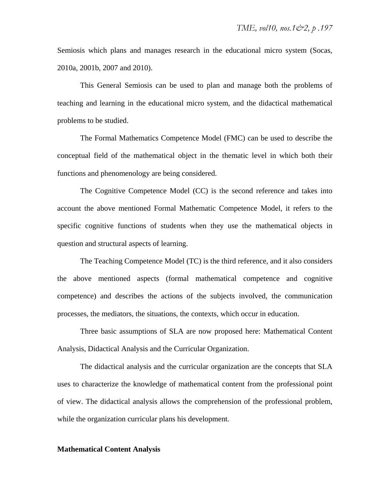Semiosis which plans and manages research in the educational micro system (Socas, 2010a, 2001b, 2007 and 2010).

This General Semiosis can be used to plan and manage both the problems of teaching and learning in the educational micro system, and the didactical mathematical problems to be studied.

The Formal Mathematics Competence Model (FMC) can be used to describe the conceptual field of the mathematical object in the thematic level in which both their functions and phenomenology are being considered.

The Cognitive Competence Model (CC) is the second reference and takes into account the above mentioned Formal Mathematic Competence Model, it refers to the specific cognitive functions of students when they use the mathematical objects in question and structural aspects of learning.

The Teaching Competence Model (TC) is the third reference, and it also considers the above mentioned aspects (formal mathematical competence and cognitive competence) and describes the actions of the subjects involved, the communication processes, the mediators, the situations, the contexts, which occur in education.

Three basic assumptions of SLA are now proposed here: Mathematical Content Analysis, Didactical Analysis and the Curricular Organization.

The didactical analysis and the curricular organization are the concepts that SLA uses to characterize the knowledge of mathematical content from the professional point of view. The didactical analysis allows the comprehension of the professional problem, while the organization curricular plans his development.

#### **Mathematical Content Analysis**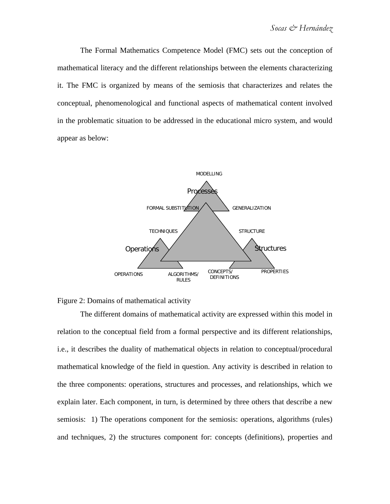The Formal Mathematics Competence Model (FMC) sets out the conception of mathematical literacy and the different relationships between the elements characterizing it. The FMC is organized by means of the semiosis that characterizes and relates the conceptual, phenomenological and functional aspects of mathematical content involved in the problematic situation to be addressed in the educational micro system, and would appear as below:





The different domains of mathematical activity are expressed within this model in relation to the conceptual field from a formal perspective and its different relationships, i.e., it describes the duality of mathematical objects in relation to conceptual/procedural mathematical knowledge of the field in question. Any activity is described in relation to the three components: operations, structures and processes, and relationships, which we explain later. Each component, in turn, is determined by three others that describe a new semiosis: 1) The operations component for the semiosis: operations, algorithms (rules) and techniques, 2) the structures component for: concepts (definitions), properties and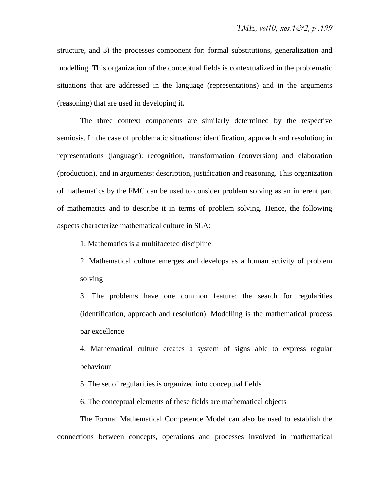structure, and 3) the processes component for: formal substitutions, generalization and modelling. This organization of the conceptual fields is contextualized in the problematic situations that are addressed in the language (representations) and in the arguments (reasoning) that are used in developing it.

The three context components are similarly determined by the respective semiosis. In the case of problematic situations: identification, approach and resolution; in representations (language): recognition, transformation (conversion) and elaboration (production), and in arguments: description, justification and reasoning. This organization of mathematics by the FMC can be used to consider problem solving as an inherent part of mathematics and to describe it in terms of problem solving. Hence, the following aspects characterize mathematical culture in SLA:

1. Mathematics is a multifaceted discipline

2. Mathematical culture emerges and develops as a human activity of problem solving

3. The problems have one common feature: the search for regularities (identification, approach and resolution). Modelling is the mathematical process par excellence

4. Mathematical culture creates a system of signs able to express regular behaviour

5. The set of regularities is organized into conceptual fields

6. The conceptual elements of these fields are mathematical objects

The Formal Mathematical Competence Model can also be used to establish the connections between concepts, operations and processes involved in mathematical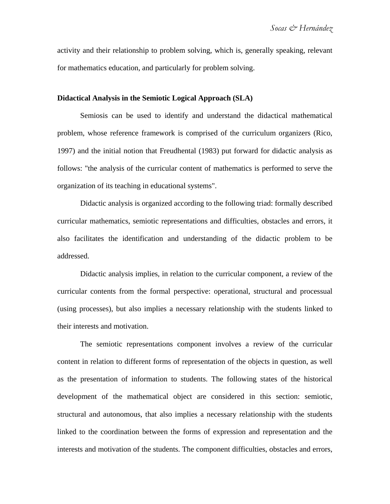activity and their relationship to problem solving, which is, generally speaking, relevant for mathematics education, and particularly for problem solving.

## **Didactical Analysis in the Semiotic Logical Approach (SLA)**

Semiosis can be used to identify and understand the didactical mathematical problem, whose reference framework is comprised of the curriculum organizers (Rico, 1997) and the initial notion that Freudhental (1983) put forward for didactic analysis as follows: "the analysis of the curricular content of mathematics is performed to serve the organization of its teaching in educational systems".

Didactic analysis is organized according to the following triad: formally described curricular mathematics, semiotic representations and difficulties, obstacles and errors, it also facilitates the identification and understanding of the didactic problem to be addressed.

Didactic analysis implies, in relation to the curricular component, a review of the curricular contents from the formal perspective: operational, structural and processual (using processes), but also implies a necessary relationship with the students linked to their interests and motivation.

The semiotic representations component involves a review of the curricular content in relation to different forms of representation of the objects in question, as well as the presentation of information to students. The following states of the historical development of the mathematical object are considered in this section: semiotic, structural and autonomous, that also implies a necessary relationship with the students linked to the coordination between the forms of expression and representation and the interests and motivation of the students. The component difficulties, obstacles and errors,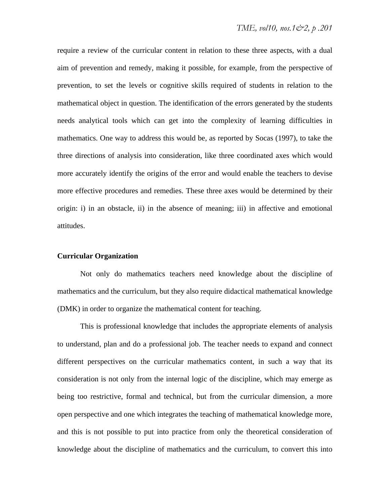require a review of the curricular content in relation to these three aspects, with a dual aim of prevention and remedy, making it possible, for example, from the perspective of prevention, to set the levels or cognitive skills required of students in relation to the mathematical object in question. The identification of the errors generated by the students needs analytical tools which can get into the complexity of learning difficulties in mathematics. One way to address this would be, as reported by Socas (1997), to take the three directions of analysis into consideration, like three coordinated axes which would more accurately identify the origins of the error and would enable the teachers to devise more effective procedures and remedies. These three axes would be determined by their origin: i) in an obstacle, ii) in the absence of meaning; iii) in affective and emotional attitudes.

### **Curricular Organization**

Not only do mathematics teachers need knowledge about the discipline of mathematics and the curriculum, but they also require didactical mathematical knowledge (DMK) in order to organize the mathematical content for teaching.

This is professional knowledge that includes the appropriate elements of analysis to understand, plan and do a professional job. The teacher needs to expand and connect different perspectives on the curricular mathematics content, in such a way that its consideration is not only from the internal logic of the discipline, which may emerge as being too restrictive, formal and technical, but from the curricular dimension, a more open perspective and one which integrates the teaching of mathematical knowledge more, and this is not possible to put into practice from only the theoretical consideration of knowledge about the discipline of mathematics and the curriculum, to convert this into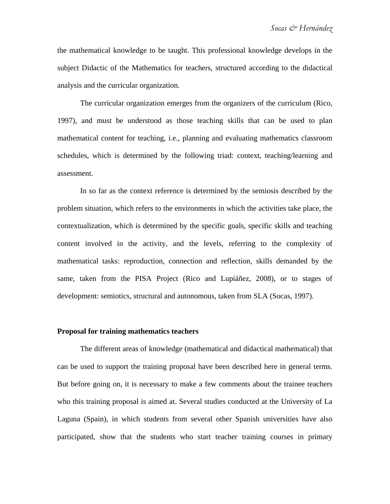the mathematical knowledge to be taught. This professional knowledge develops in the subject Didactic of the Mathematics for teachers, structured according to the didactical analysis and the curricular organization.

The curricular organization emerges from the organizers of the curriculum (Rico, 1997), and must be understood as those teaching skills that can be used to plan mathematical content for teaching, i.e., planning and evaluating mathematics classroom schedules, which is determined by the following triad: context, teaching/learning and assessment.

In so far as the context reference is determined by the semiosis described by the problem situation, which refers to the environments in which the activities take place, the contextualization, which is determined by the specific goals, specific skills and teaching content involved in the activity, and the levels, referring to the complexity of mathematical tasks: reproduction, connection and reflection, skills demanded by the same, taken from the PISA Project (Rico and Lupiáñez, 2008), or to stages of development: semiotics, structural and autonomous, taken from SLA (Socas, 1997).

## **Proposal for training mathematics teachers**

The different areas of knowledge (mathematical and didactical mathematical) that can be used to support the training proposal have been described here in general terms. But before going on, it is necessary to make a few comments about the trainee teachers who this training proposal is aimed at. Several studies conducted at the University of La Laguna (Spain), in which students from several other Spanish universities have also participated, show that the students who start teacher training courses in primary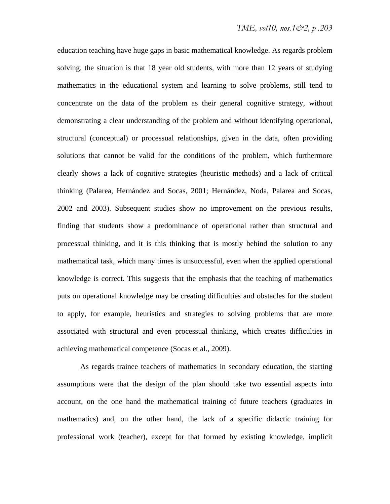education teaching have huge gaps in basic mathematical knowledge. As regards problem solving, the situation is that 18 year old students, with more than 12 years of studying mathematics in the educational system and learning to solve problems, still tend to concentrate on the data of the problem as their general cognitive strategy, without demonstrating a clear understanding of the problem and without identifying operational, structural (conceptual) or processual relationships, given in the data, often providing solutions that cannot be valid for the conditions of the problem, which furthermore clearly shows a lack of cognitive strategies (heuristic methods) and a lack of critical thinking (Palarea, Hernández and Socas, 2001; Hernández, Noda, Palarea and Socas, 2002 and 2003). Subsequent studies show no improvement on the previous results, finding that students show a predominance of operational rather than structural and processual thinking, and it is this thinking that is mostly behind the solution to any mathematical task, which many times is unsuccessful, even when the applied operational knowledge is correct. This suggests that the emphasis that the teaching of mathematics puts on operational knowledge may be creating difficulties and obstacles for the student to apply, for example, heuristics and strategies to solving problems that are more associated with structural and even processual thinking, which creates difficulties in achieving mathematical competence (Socas et al., 2009).

As regards trainee teachers of mathematics in secondary education, the starting assumptions were that the design of the plan should take two essential aspects into account, on the one hand the mathematical training of future teachers (graduates in mathematics) and, on the other hand, the lack of a specific didactic training for professional work (teacher), except for that formed by existing knowledge, implicit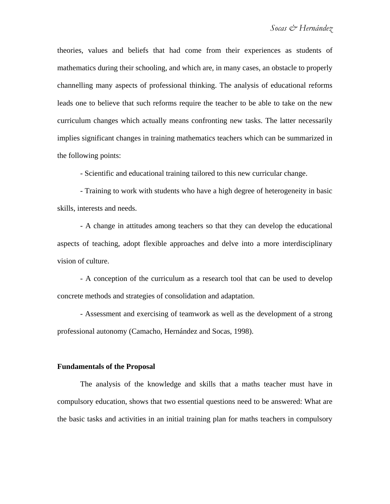theories, values and beliefs that had come from their experiences as students of mathematics during their schooling, and which are, in many cases, an obstacle to properly channelling many aspects of professional thinking. The analysis of educational reforms leads one to believe that such reforms require the teacher to be able to take on the new curriculum changes which actually means confronting new tasks. The latter necessarily implies significant changes in training mathematics teachers which can be summarized in the following points:

- Scientific and educational training tailored to this new curricular change.

- Training to work with students who have a high degree of heterogeneity in basic skills, interests and needs.

- A change in attitudes among teachers so that they can develop the educational aspects of teaching, adopt flexible approaches and delve into a more interdisciplinary vision of culture.

- A conception of the curriculum as a research tool that can be used to develop concrete methods and strategies of consolidation and adaptation.

- Assessment and exercising of teamwork as well as the development of a strong professional autonomy (Camacho, Hernández and Socas, 1998).

#### **Fundamentals of the Proposal**

The analysis of the knowledge and skills that a maths teacher must have in compulsory education, shows that two essential questions need to be answered: What are the basic tasks and activities in an initial training plan for maths teachers in compulsory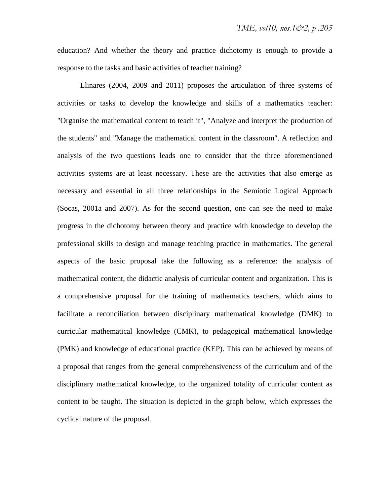education? And whether the theory and practice dichotomy is enough to provide a response to the tasks and basic activities of teacher training?

Llinares (2004, 2009 and 2011) proposes the articulation of three systems of activities or tasks to develop the knowledge and skills of a mathematics teacher: "Organise the mathematical content to teach it", "Analyze and interpret the production of the students" and "Manage the mathematical content in the classroom". A reflection and analysis of the two questions leads one to consider that the three aforementioned activities systems are at least necessary. These are the activities that also emerge as necessary and essential in all three relationships in the Semiotic Logical Approach (Socas, 2001a and 2007). As for the second question, one can see the need to make progress in the dichotomy between theory and practice with knowledge to develop the professional skills to design and manage teaching practice in mathematics. The general aspects of the basic proposal take the following as a reference: the analysis of mathematical content, the didactic analysis of curricular content and organization. This is a comprehensive proposal for the training of mathematics teachers, which aims to facilitate a reconciliation between disciplinary mathematical knowledge (DMK) to curricular mathematical knowledge (CMK), to pedagogical mathematical knowledge (PMK) and knowledge of educational practice (KEP). This can be achieved by means of a proposal that ranges from the general comprehensiveness of the curriculum and of the disciplinary mathematical knowledge, to the organized totality of curricular content as content to be taught. The situation is depicted in the graph below, which expresses the cyclical nature of the proposal.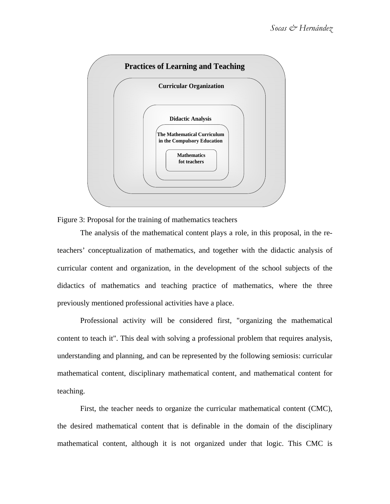



The analysis of the mathematical content plays a role, in this proposal, in the reteachers' conceptualization of mathematics, and together with the didactic analysis of curricular content and organization, in the development of the school subjects of the didactics of mathematics and teaching practice of mathematics, where the three previously mentioned professional activities have a place.

Professional activity will be considered first, "organizing the mathematical content to teach it". This deal with solving a professional problem that requires analysis, understanding and planning, and can be represented by the following semiosis: curricular mathematical content, disciplinary mathematical content, and mathematical content for teaching.

First, the teacher needs to organize the curricular mathematical content (CMC), the desired mathematical content that is definable in the domain of the disciplinary mathematical content, although it is not organized under that logic. This CMC is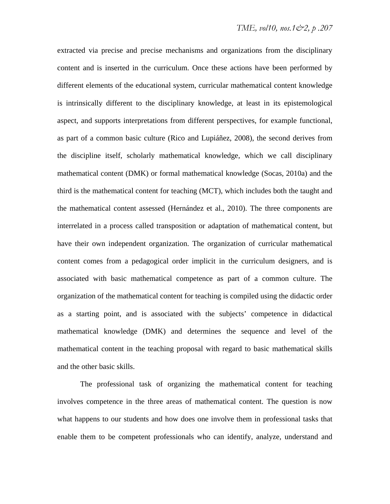extracted via precise and precise mechanisms and organizations from the disciplinary content and is inserted in the curriculum. Once these actions have been performed by different elements of the educational system, curricular mathematical content knowledge is intrinsically different to the disciplinary knowledge, at least in its epistemological aspect, and supports interpretations from different perspectives, for example functional, as part of a common basic culture (Rico and Lupiáñez, 2008), the second derives from the discipline itself, scholarly mathematical knowledge, which we call disciplinary mathematical content (DMK) or formal mathematical knowledge (Socas, 2010a) and the third is the mathematical content for teaching (MCT), which includes both the taught and the mathematical content assessed (Hernández et al., 2010). The three components are interrelated in a process called transposition or adaptation of mathematical content, but have their own independent organization. The organization of curricular mathematical content comes from a pedagogical order implicit in the curriculum designers, and is associated with basic mathematical competence as part of a common culture. The organization of the mathematical content for teaching is compiled using the didactic order as a starting point, and is associated with the subjects' competence in didactical mathematical knowledge (DMK) and determines the sequence and level of the mathematical content in the teaching proposal with regard to basic mathematical skills and the other basic skills.

The professional task of organizing the mathematical content for teaching involves competence in the three areas of mathematical content. The question is now what happens to our students and how does one involve them in professional tasks that enable them to be competent professionals who can identify, analyze, understand and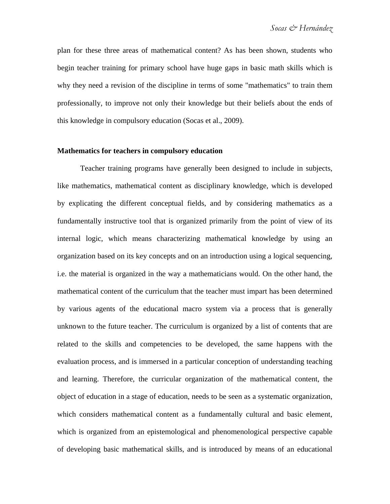plan for these three areas of mathematical content? As has been shown, students who begin teacher training for primary school have huge gaps in basic math skills which is why they need a revision of the discipline in terms of some "mathematics" to train them professionally, to improve not only their knowledge but their beliefs about the ends of this knowledge in compulsory education (Socas et al., 2009).

## **Mathematics for teachers in compulsory education**

Teacher training programs have generally been designed to include in subjects, like mathematics, mathematical content as disciplinary knowledge, which is developed by explicating the different conceptual fields, and by considering mathematics as a fundamentally instructive tool that is organized primarily from the point of view of its internal logic, which means characterizing mathematical knowledge by using an organization based on its key concepts and on an introduction using a logical sequencing, i.e. the material is organized in the way a mathematicians would. On the other hand, the mathematical content of the curriculum that the teacher must impart has been determined by various agents of the educational macro system via a process that is generally unknown to the future teacher. The curriculum is organized by a list of contents that are related to the skills and competencies to be developed, the same happens with the evaluation process, and is immersed in a particular conception of understanding teaching and learning. Therefore, the curricular organization of the mathematical content, the object of education in a stage of education, needs to be seen as a systematic organization, which considers mathematical content as a fundamentally cultural and basic element, which is organized from an epistemological and phenomenological perspective capable of developing basic mathematical skills, and is introduced by means of an educational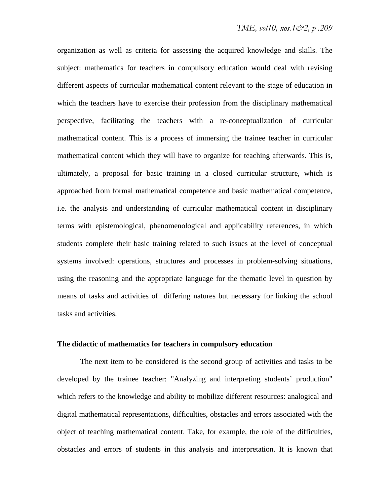organization as well as criteria for assessing the acquired knowledge and skills. The subject: mathematics for teachers in compulsory education would deal with revising different aspects of curricular mathematical content relevant to the stage of education in which the teachers have to exercise their profession from the disciplinary mathematical perspective, facilitating the teachers with a re-conceptualization of curricular mathematical content. This is a process of immersing the trainee teacher in curricular mathematical content which they will have to organize for teaching afterwards. This is, ultimately, a proposal for basic training in a closed curricular structure, which is approached from formal mathematical competence and basic mathematical competence, i.e. the analysis and understanding of curricular mathematical content in disciplinary terms with epistemological, phenomenological and applicability references, in which students complete their basic training related to such issues at the level of conceptual systems involved: operations, structures and processes in problem-solving situations, using the reasoning and the appropriate language for the thematic level in question by means of tasks and activities of differing natures but necessary for linking the school tasks and activities.

### **The didactic of mathematics for teachers in compulsory education**

The next item to be considered is the second group of activities and tasks to be developed by the trainee teacher: "Analyzing and interpreting students' production" which refers to the knowledge and ability to mobilize different resources: analogical and digital mathematical representations, difficulties, obstacles and errors associated with the object of teaching mathematical content. Take, for example, the role of the difficulties, obstacles and errors of students in this analysis and interpretation. It is known that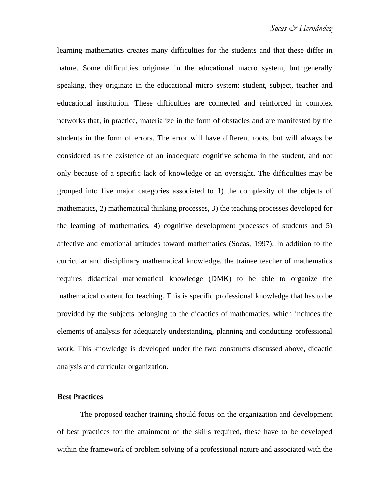learning mathematics creates many difficulties for the students and that these differ in nature. Some difficulties originate in the educational macro system, but generally speaking, they originate in the educational micro system: student, subject, teacher and educational institution. These difficulties are connected and reinforced in complex networks that, in practice, materialize in the form of obstacles and are manifested by the students in the form of errors. The error will have different roots, but will always be considered as the existence of an inadequate cognitive schema in the student, and not only because of a specific lack of knowledge or an oversight. The difficulties may be grouped into five major categories associated to 1) the complexity of the objects of mathematics, 2) mathematical thinking processes, 3) the teaching processes developed for the learning of mathematics, 4) cognitive development processes of students and 5) affective and emotional attitudes toward mathematics (Socas, 1997). In addition to the curricular and disciplinary mathematical knowledge, the trainee teacher of mathematics requires didactical mathematical knowledge (DMK) to be able to organize the mathematical content for teaching. This is specific professional knowledge that has to be provided by the subjects belonging to the didactics of mathematics, which includes the elements of analysis for adequately understanding, planning and conducting professional work. This knowledge is developed under the two constructs discussed above, didactic analysis and curricular organization.

## **Best Practices**

The proposed teacher training should focus on the organization and development of best practices for the attainment of the skills required, these have to be developed within the framework of problem solving of a professional nature and associated with the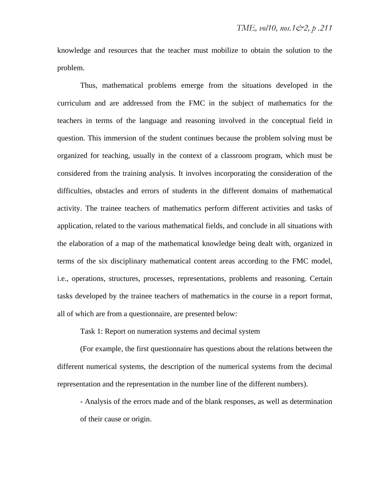knowledge and resources that the teacher must mobilize to obtain the solution to the problem.

Thus, mathematical problems emerge from the situations developed in the curriculum and are addressed from the FMC in the subject of mathematics for the teachers in terms of the language and reasoning involved in the conceptual field in question. This immersion of the student continues because the problem solving must be organized for teaching, usually in the context of a classroom program, which must be considered from the training analysis. It involves incorporating the consideration of the difficulties, obstacles and errors of students in the different domains of mathematical activity. The trainee teachers of mathematics perform different activities and tasks of application, related to the various mathematical fields, and conclude in all situations with the elaboration of a map of the mathematical knowledge being dealt with, organized in terms of the six disciplinary mathematical content areas according to the FMC model, i.e., operations, structures, processes, representations, problems and reasoning. Certain tasks developed by the trainee teachers of mathematics in the course in a report format, all of which are from a questionnaire, are presented below:

Task 1: Report on numeration systems and decimal system

(For example, the first questionnaire has questions about the relations between the different numerical systems, the description of the numerical systems from the decimal representation and the representation in the number line of the different numbers).

- Analysis of the errors made and of the blank responses, as well as determination of their cause or origin.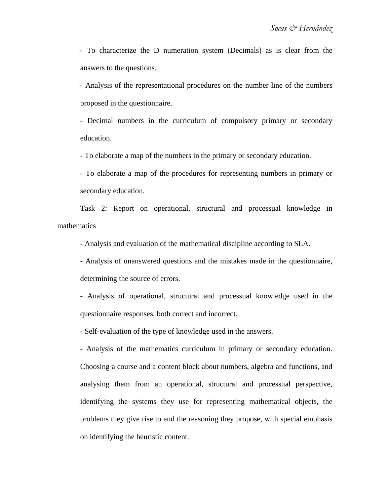- To characterize the D numeration system (Decimals) as is clear from the answers to the questions.

- Analysis of the representational procedures on the number line of the numbers proposed in the questionnaire.

- Decimal numbers in the curriculum of compulsory primary or secondary education.

- To elaborate a map of the numbers in the primary or secondary education.

- To elaborate a map of the procedures for representing numbers in primary or secondary education.

Task 2: Report on operational, structural and processual knowledge in mathematics

- Analysis and evaluation of the mathematical discipline according to SLA.

- Analysis of unanswered questions and the mistakes made in the questionnaire, determining the source of errors.

- Analysis of operational, structural and processual knowledge used in the questionnaire responses, both correct and incorrect.

- Self-evaluation of the type of knowledge used in the answers.

- Analysis of the mathematics curriculum in primary or secondary education. Choosing a course and a content block about numbers, algebra and functions, and analysing them from an operational, structural and processual perspective, identifying the systems they use for representing mathematical objects, the problems they give rise to and the reasoning they propose, with special emphasis on identifying the heuristic content.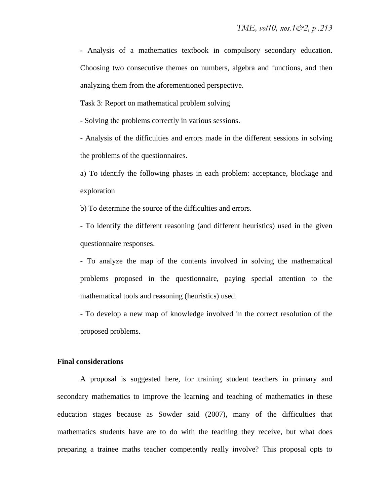- Analysis of a mathematics textbook in compulsory secondary education. Choosing two consecutive themes on numbers, algebra and functions, and then analyzing them from the aforementioned perspective.

Task 3: Report on mathematical problem solving

- Solving the problems correctly in various sessions.

- Analysis of the difficulties and errors made in the different sessions in solving the problems of the questionnaires.

a) To identify the following phases in each problem: acceptance, blockage and exploration

b) To determine the source of the difficulties and errors.

- To identify the different reasoning (and different heuristics) used in the given questionnaire responses.

- To analyze the map of the contents involved in solving the mathematical problems proposed in the questionnaire, paying special attention to the mathematical tools and reasoning (heuristics) used.

- To develop a new map of knowledge involved in the correct resolution of the proposed problems.

#### **Final considerations**

A proposal is suggested here, for training student teachers in primary and secondary mathematics to improve the learning and teaching of mathematics in these education stages because as Sowder said (2007), many of the difficulties that mathematics students have are to do with the teaching they receive, but what does preparing a trainee maths teacher competently really involve? This proposal opts to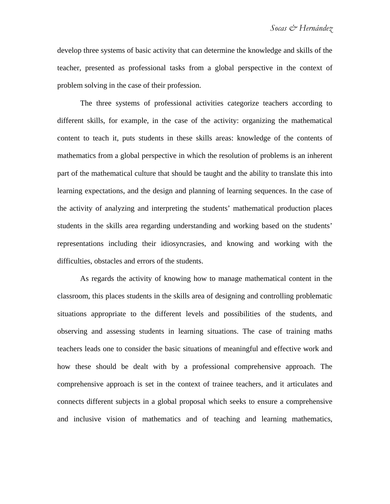develop three systems of basic activity that can determine the knowledge and skills of the teacher, presented as professional tasks from a global perspective in the context of problem solving in the case of their profession.

The three systems of professional activities categorize teachers according to different skills, for example, in the case of the activity: organizing the mathematical content to teach it, puts students in these skills areas: knowledge of the contents of mathematics from a global perspective in which the resolution of problems is an inherent part of the mathematical culture that should be taught and the ability to translate this into learning expectations, and the design and planning of learning sequences. In the case of the activity of analyzing and interpreting the students' mathematical production places students in the skills area regarding understanding and working based on the students' representations including their idiosyncrasies, and knowing and working with the difficulties, obstacles and errors of the students.

As regards the activity of knowing how to manage mathematical content in the classroom, this places students in the skills area of designing and controlling problematic situations appropriate to the different levels and possibilities of the students, and observing and assessing students in learning situations. The case of training maths teachers leads one to consider the basic situations of meaningful and effective work and how these should be dealt with by a professional comprehensive approach. The comprehensive approach is set in the context of trainee teachers, and it articulates and connects different subjects in a global proposal which seeks to ensure a comprehensive and inclusive vision of mathematics and of teaching and learning mathematics,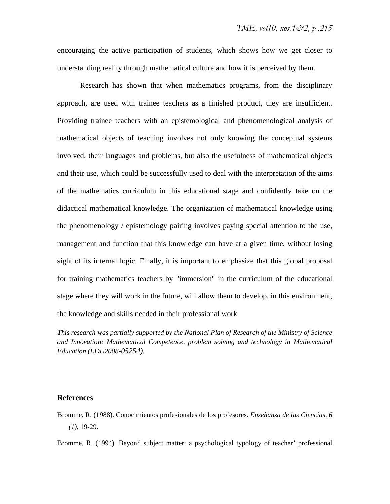encouraging the active participation of students, which shows how we get closer to understanding reality through mathematical culture and how it is perceived by them.

Research has shown that when mathematics programs, from the disciplinary approach, are used with trainee teachers as a finished product, they are insufficient. Providing trainee teachers with an epistemological and phenomenological analysis of mathematical objects of teaching involves not only knowing the conceptual systems involved, their languages and problems, but also the usefulness of mathematical objects and their use, which could be successfully used to deal with the interpretation of the aims of the mathematics curriculum in this educational stage and confidently take on the didactical mathematical knowledge. The organization of mathematical knowledge using the phenomenology / epistemology pairing involves paying special attention to the use, management and function that this knowledge can have at a given time, without losing sight of its internal logic. Finally, it is important to emphasize that this global proposal for training mathematics teachers by "immersion" in the curriculum of the educational stage where they will work in the future, will allow them to develop, in this environment, the knowledge and skills needed in their professional work.

*This research was partially supported by the National Plan of Research of the Ministry of Science and Innovation: Mathematical Competence, problem solving and technology in Mathematical Education (EDU2008-05254).* 

#### **References**

Bromme, R. (1988). Conocimientos profesionales de los profesores. *Enseñanza de las Ciencias, 6 (1)*, 19-29.

Bromme, R. (1994). Beyond subject matter: a psychological typology of teacher' professional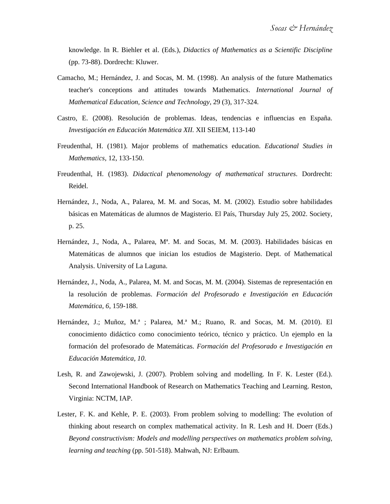knowledge. In R. Biehler et al. (Eds.), *Didactics of Mathematics as a Scientific Discipline* (pp. 73-88). Dordrecht: Kluwer.

- Camacho, M.; Hernández, J. and Socas, M. M. (1998). An analysis of the future Mathematics teacher's conceptions and attitudes towards Mathematics. *International Journal of Mathematical Education, Science and Technology,* 29 (3), 317-324.
- Castro, E. (2008). Resolución de problemas. Ideas, tendencias e influencias en España. *Investigación en Educación Matemática XII.* XII SEIEM, 113-140
- Freudenthal, H. (1981). Major problems of mathematics education. *Educational Studies in Mathematics,* 12, 133-150.
- Freudenthal, H. (1983). *Didactical phenomenology of mathematical structures*. Dordrecht: Reidel.
- Hernández, J., Noda, A., Palarea, M. M. and Socas, M. M. (2002). Estudio sobre habilidades básicas en Matemáticas de alumnos de Magisterio. El País, Thursday July 25, 2002. Society, p. 25.
- Hernández, J., Noda, A., Palarea, Mª. M. and Socas, M. M. (2003). Habilidades básicas en Matemáticas de alumnos que inician los estudios de Magisterio. Dept. of Mathematical Analysis. University of La Laguna.
- Hernández, J., Noda, A., Palarea, M. M. and Socas, M. M. (2004). Sistemas de representación en la resolución de problemas. *Formación del Profesorado e Investigación en Educación Matemática, 6*, 159-188.
- Hernández, J.; Muñoz, M.ª ; Palarea, M.ª M.; Ruano, R. and Socas, M. M. (2010). El conocimiento didáctico como conocimiento teórico, técnico y práctico. Un ejemplo en la formación del profesorado de Matemáticas. *Formación del Profesorado e Investigación en Educación Matemática, 10*.
- Lesh, R. and Zawojewski, J. (2007). Problem solving and modelling. In F. K. Lester (Ed.). Second International Handbook of Research on Mathematics Teaching and Learning. Reston, Virginia: NCTM, IAP.
- Lester, F. K. and Kehle, P. E. (2003). From problem solving to modelling: The evolution of thinking about research on complex mathematical activity. In R. Lesh and H. Doerr (Eds.) *Beyond constructivism: Models and modelling perspectives on mathematics problem solving, learning and teaching* (pp. 501-518). Mahwah, NJ: Erlbaum.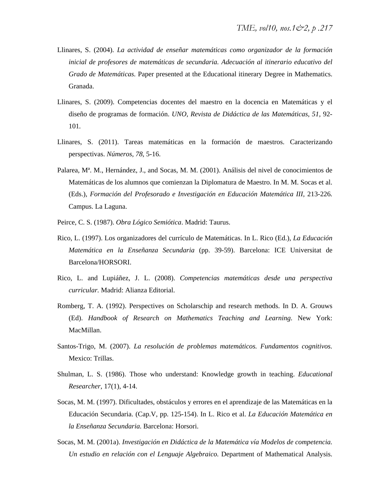- Llinares, S. (2004). *La actividad de enseñar matemáticas como organizador de la formación inicial de profesores de matemáticas de secundaria. Adecuación al itinerario educativo del Grado de Matemáticas.* Paper presented at the Educational itinerary Degree in Mathematics. Granada.
- Llinares, S. (2009). Competencias docentes del maestro en la docencia en Matemáticas y el diseño de programas de formación. *UNO, Revista de Didáctica de las Matemáticas, 51,* 92- 101*.*
- Llinares, S. (2011). Tareas matemáticas en la formación de maestros. Caracterizando perspectivas. *Números, 78*, 5-16.
- Palarea, Mª. M., Hernández, J., and Socas, M. M. (2001). Análisis del nivel de conocimientos de Matemáticas de los alumnos que comienzan la Diplomatura de Maestro. In M. M. Socas et al. (Eds.), *Formación del Profesorado e Investigación en Educación Matemática III,* 213-226*.*  Campus. La Laguna.
- Peirce, C. S. (1987). *Obra Lógico Semiótica*. Madrid: Taurus.
- Rico, L. (1997). Los organizadores del currículo de Matemáticas. In L. Rico (Ed.), *La Educación Matemática en la Enseñanza Secundaria* (pp. 39-59). Barcelona: ICE Universitat de Barcelona/HORSORI.
- Rico, L. and Lupiáñez, J. L. (2008). *Competencias matemáticas desde una perspectiva curricular.* Madrid: Alianza Editorial.
- Romberg, T. A. (1992). Perspectives on Scholarschip and research methods. In D. A. Grouws (Ed). *Handbook of Research on Mathematics Teaching and Learning*. New York: MacMillan.
- Santos-Trigo, M. (2007). *La resolución de problemas matemáticos. Fundamentos cognitivos.*  Mexico: Trillas.
- Shulman, L. S. (1986). Those who understand: Knowledge growth in teaching. *Educational Researcher,* 17(1), 4-14.
- Socas, M. M. (1997). Dificultades, obstáculos y errores en el aprendizaje de las Matemáticas en la Educación Secundaria. (Cap.V, pp. 125-154). In L. Rico et al. *La Educación Matemática en la Enseñanza Secundaria.* Barcelona: Horsori.
- Socas, M. M. (2001a). *Investigación en Didáctica de la Matemática vía Modelos de competencia. Un estudio en relación con el Lenguaje Algebraico.* Department of Mathematical Analysis.